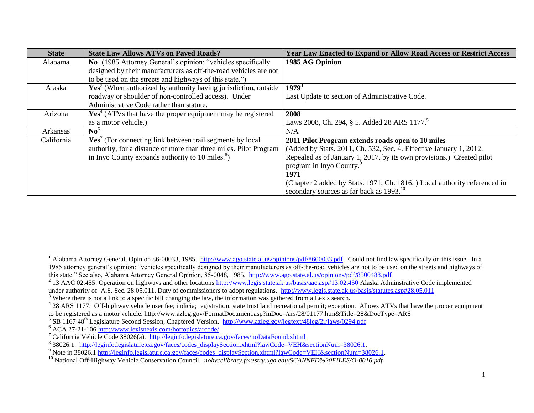| <b>State</b> | <b>State Law Allows ATVs on Paved Roads?</b>                             | <b>Year Law Enacted to Expand or Allow Road Access or Restrict Access</b> |
|--------------|--------------------------------------------------------------------------|---------------------------------------------------------------------------|
| Alabama      | $\mathrm{No}^1$ (1985 Attorney General's opinion: "vehicles specifically | 1985 AG Opinion                                                           |
|              | designed by their manufacturers as off-the-road vehicles are not         |                                                                           |
|              | to be used on the streets and highways of this state.")                  |                                                                           |
| Alaska       | $Yes2$ (When authorized by authority having jurisdiction, outside        | $1979^3$                                                                  |
|              | roadway or shoulder of non-controlled access). Under                     | Last Update to section of Administrative Code.                            |
|              | Administrative Code rather than statute.                                 |                                                                           |
| Arizona      | $Yes4 (ATVs that have the proper equipment may be registered)$           | 2008                                                                      |
|              | as a motor vehicle.)                                                     | Laws 2008, Ch. 294, § 5. Added 28 ARS 1177. <sup>5</sup>                  |
| Arkansas     | $\mathbf{N}$ <sup>6</sup>                                                | N/A                                                                       |
| California   | $\text{Yes}^7$ (For connecting link between trail segments by local      | 2011 Pilot Program extends roads open to 10 miles                         |
|              | authority, for a distance of more than three miles. Pilot Program        | (Added by Stats. 2011, Ch. 532, Sec. 4. Effective January 1, 2012.        |
|              | in Inyo County expands authority to 10 miles. <sup>8</sup> )             | Repealed as of January 1, 2017, by its own provisions.) Created pilot     |
|              |                                                                          | program in Inyo County. <sup>9</sup>                                      |
|              |                                                                          | 1971                                                                      |
|              |                                                                          | (Chapter 2 added by Stats. 1971, Ch. 1816.) Local authority referenced in |
|              |                                                                          | secondary sources as far back as 1993. <sup>10</sup>                      |

 $\overline{a}$ 

<sup>&</sup>lt;sup>1</sup> Alabama Attorney General, Opinion 86-00033, 1985. <http://www.ago.state.al.us/opinions/pdf/8600033.pdf>Could not find law specifically on this issue. In a 1985 attorney general's opinion: "vehicles specifically designed by their manufacturers as off-the-road vehicles are not to be used on the streets and highways of this state." See also, Alabama Attorney General Opinion, 85-0048, 1985. <http://www.ago.state.al.us/opinions/pdf/8500488.pdf>

<sup>&</sup>lt;sup>2</sup> 13 AAC 02.455. Operation on highways and other locations<http://www.legis.state.ak.us/basis/aac.asp#13.02.450> Alaska Adminstrative Code implemented under authority of A.S. Sec. 28.05.011. Duty of commissioners to adopt regulations. <http://www.legis.state.ak.us/basis/statutes.asp#28.05.011>

<sup>&</sup>lt;sup>3</sup> Where there is not a link to a specific bill changing the law, the information was gathered from a Lexis search.

<sup>&</sup>lt;sup>4</sup> 28 ARS 1177. Off-highway vehicle user fee; indicia; registration; state trust land recreational permit; exception. Allows ATVs that have the proper equipment to be registered as a motor vehicle. http://www.azleg.gov/FormatDocument.asp?inDoc=/ars/28/01177.htm&Title=28&DocType=ARS

<sup>&</sup>lt;sup>5</sup> SB 1167 48<sup>th</sup> Legislature Second Session, Chaptered Version. <http://www.azleg.gov/legtext/48leg/2r/laws/0294.pdf>

<sup>6</sup> ACA 27-21-106<http://www.lexisnexis.com/hottopics/arcode/>

<sup>7</sup> California Vehicle Code 38026(a).<http://leginfo.legislature.ca.gov/faces/noDataFound.xhtml>

<sup>&</sup>lt;sup>8</sup> 38026.1. [http://leginfo.legislature.ca.gov/faces/codes\\_displaySection.xhtml?lawCode=VEH&sectionNum=38026.1.](http://leginfo.legislature.ca.gov/faces/codes_displaySection.xhtml?lawCode=VEH§ionNum=38026.1)

<sup>&</sup>lt;sup>9</sup> Note in 38026.1 [http://leginfo.legislature.ca.gov/faces/codes\\_displaySection.xhtml?lawCode=VEH&sectionNum=38026.1.](http://leginfo.legislature.ca.gov/faces/codes_displaySection.xhtml?lawCode=VEH§ionNum=38026.1)

<sup>&</sup>lt;sup>10</sup> National Off-Highway Vehicle Conservation Council. *nohvcclibrary.forestry.uga.edu/SCANNED%20FILES/O-0016.pdf*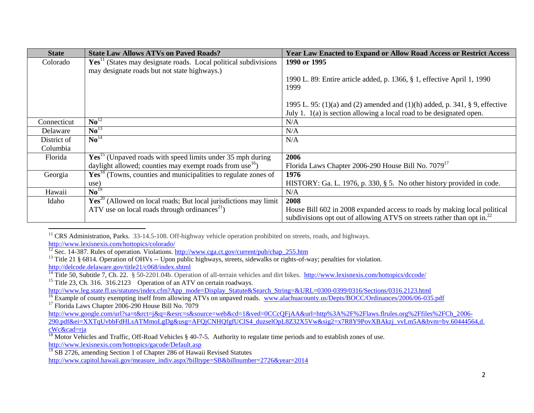| <b>State</b> | <b>State Law Allows ATVs on Paved Roads?</b>                                 | <b>Year Law Enacted to Expand or Allow Road Access or Restrict Access</b>          |
|--------------|------------------------------------------------------------------------------|------------------------------------------------------------------------------------|
| Colorado     | $\text{Yes}^{11}$ (States may designate roads. Local political subdivisions  | 1990 or 1995                                                                       |
|              | may designate roads but not state highways.)                                 |                                                                                    |
|              |                                                                              | 1990 L. 89: Entire article added, p. 1366, § 1, effective April 1, 1990            |
|              |                                                                              | 1999                                                                               |
|              |                                                                              |                                                                                    |
|              |                                                                              | 1995 L. 95: (1)(a) and (2) amended and (1)(h) added, p. 341, $\S$ 9, effective     |
|              |                                                                              | July 1. $1(a)$ is section allowing a local road to be designated open.             |
| Connecticut  | $\mathrm{No}^{12}$                                                           | N/A                                                                                |
| Delaware     | $\mathbf{N}\mathbf{o}^{13}$                                                  | N/A                                                                                |
| District of  | $\text{No}^{14}$                                                             | N/A                                                                                |
| Columbia     |                                                                              |                                                                                    |
| Florida      | $\mathbf{Yes}^{15}$ (Unpaved roads with speed limits under 35 mph during     | 2006                                                                               |
|              | daylight allowed; counties may exempt roads from use <sup>16</sup> )         | Florida Laws Chapter 2006-290 House Bill No. 7079 <sup>17</sup>                    |
| Georgia      | $\text{Yes}^{18}$ (Towns, counties and municipalities to regulate zones of   | 1976                                                                               |
|              | use)                                                                         | HISTORY: Ga. L. 1976, p. 330, § 5. No other history provided in code.              |
| Hawaii       | $\text{No}^{19}$                                                             | N/A                                                                                |
| Idaho        | $\text{Yes}^{20}$ (Allowed on local roads; But local jurisdictions may limit | 2008                                                                               |
|              | ATV use on local roads through ordinances <sup>21</sup> )                    | House Bill 602 in 2008 expanded access to roads by making local political          |
|              |                                                                              | subdivisions opt out of allowing ATVS on streets rather than opt in. <sup>22</sup> |

 $\overline{\phantom{a}}$ <sup>11</sup> CRS Administration, Parks. 33-14.5-108. Off-highway vehicle operation prohibited on streets, roads, and highways.

<http://www.lexisnexis.com/hottopics/colorado/>

 $\frac{12}{12}$  Sec. 14-387. Rules of operation. Violations. [http://www.cga.ct.gov/current/pub/chap\\_255.htm](http://www.cga.ct.gov/current/pub/chap_255.htm)

<sup>13</sup> Title 21 § 6814. Operation of OHVs -- Upon public highways, streets, sidewalks or rights-of-way; penalties for violation. <http://delcode.delaware.gov/title21/c068/index.shtml>

<sup>14</sup> Title 50, Subtitle 7, Ch. 22. § 50-2201.04b. Operation of all-terrain vehicles and dirt bikes. http://www.lexisnexis.com/hottopics/dccode/ <sup>15</sup> Title 23, Ch. 316.  $316.2123$  Operation of an ATV on certain roadways.

[http://www.leg.state.fl.us/statutes/index.cfm?App\\_mode=Display\\_Statute&Search\\_String=&URL=0300-0399/0316/Sections/0316.2123.html](http://www.leg.state.fl.us/statutes/index.cfm?App_mode=Display_Statute&Search_String=&URL=0300-0399/0316/Sections/0316.2123.html)

<sup>16</sup> Example of county exempting itself from allowing ATVs on unpaved roads. [www.alachuacounty.us/Depts/BOCC/Ordinances/2006/06-035.pdf](http://www.alachuacounty.us/Depts/BOCC/Ordinances/2006/06-035.pdf)

 $17$  Florida Laws Chapter 2006-290 House Bill No. 7079

[http://www.google.com/url?sa=t&rct=j&q=&esrc=s&source=web&cd=1&ved=0CCcQFjAA&url=http%3A%2F%2Flaws.flrules.org%2Ffiles%2FCh\\_2006-](http://www.google.com/url?sa=t&rct=j&q=&esrc=s&source=web&cd=1&ved=0CCcQFjAA&url=http%3A%2F%2Flaws.flrules.org%2Ffiles%2FCh_2006-290.pdf&ei=XXTqUvbbFdHLsATMmoLgDg&usg=AFQjCNHQfgfUClS4_duzselOpL8Z32X5Vw&sig2=x7R8Y9PovXBAkzj_vvLm5A&bvm=bv.60444564,d.cWc&cad=rja) 290.pdf&ei=XXTqUvbbFdHLsATMmoLgDg&usg=AFQjCNHQfgfUClS4\_duzselOpL8Z32X5Vw&sig2=x7R8Y9PovXBAkzi\_vvLm5A&bvm=bv.60444564.d. [cWc&cad=rja](http://www.google.com/url?sa=t&rct=j&q=&esrc=s&source=web&cd=1&ved=0CCcQFjAA&url=http%3A%2F%2Flaws.flrules.org%2Ffiles%2FCh_2006-290.pdf&ei=XXTqUvbbFdHLsATMmoLgDg&usg=AFQjCNHQfgfUClS4_duzselOpL8Z32X5Vw&sig2=x7R8Y9PovXBAkzj_vvLm5A&bvm=bv.60444564,d.cWc&cad=rja)

<sup>19</sup> SB 2726, amending Section 1 of Chapter 286 of Hawaii Revised Statutes

[http://www.capitol.hawaii.gov/measure\\_indiv.aspx?billtype=SB&billnumber=2726&year=2014](http://www.capitol.hawaii.gov/measure_indiv.aspx?billtype=SB&billnumber=2726&year=2014)

 $\frac{18}{18}$  Motor Vehicles and Traffic, Off-Road Vehicles § 40-7-5. Authority to regulate time periods and to establish zones of use. <http://www.lexisnexis.com/hottopics/gacode/Default.asp>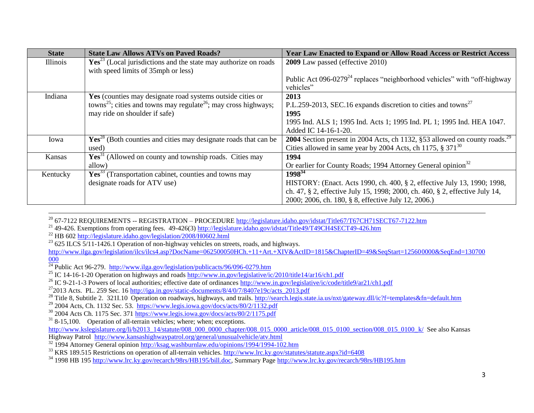| <b>State</b> | <b>State Law Allows ATVs on Paved Roads?</b>                                            | <b>Year Law Enacted to Expand or Allow Road Access or Restrict Access</b>              |
|--------------|-----------------------------------------------------------------------------------------|----------------------------------------------------------------------------------------|
| Illinois     | $\text{Yes}^{23}$ (Local jurisdictions and the state may authorize on roads             | <b>2009</b> Law passed (effective 2010)                                                |
|              | with speed limits of 35mph or less)                                                     |                                                                                        |
|              |                                                                                         | Public Act 096-0279 <sup>24</sup> replaces "neighborhood vehicles" with "off-highway"  |
|              |                                                                                         | vehicles"                                                                              |
| Indiana      | Yes (counties may designate road systems outside cities or                              | 2013                                                                                   |
|              | towns <sup>25</sup> ; cities and towns may regulate <sup>26</sup> ; may cross highways; | P.L.259-2013, SEC.16 expands discretion to cities and towns <sup>27</sup>              |
|              | may ride on shoulder if safe)                                                           | 1995                                                                                   |
|              |                                                                                         | 1995 Ind. ALS 1; 1995 Ind. Acts 1; 1995 Ind. PL 1; 1995 Ind. HEA 1047.                 |
|              |                                                                                         | Added IC 14-16-1-20.                                                                   |
| Iowa         | $\mathrm{Yes}^{28}$ (Both counties and cities may designate roads that can be           | 2004 Section present in 2004 Acts, ch 1132, §53 allowed on county roads. <sup>29</sup> |
|              | used)                                                                                   | Cities allowed in same year by 2004 Acts, ch 1175, $\S 371^{30}$                       |
| Kansas       | $Yes31$ (Allowed on county and township roads. Cities may                               | 1994                                                                                   |
|              | allow)                                                                                  | Or earlier for County Roads; 1994 Attorney General opinion <sup>32</sup>               |
| Kentucky     | $Yes33$ (Transportation cabinet, counties and towns may                                 | $1998^{34}$                                                                            |
|              | designate roads for ATV use)                                                            | HISTORY: (Enact. Acts 1990, ch. 400, § 2, effective July 13, 1990; 1998,               |
|              |                                                                                         | ch. 47, § 2, effective July 15, 1998; 2000, ch. 460, § 2, effective July 14,           |
|              |                                                                                         | 2000; 2006, ch. 180, § 8, effective July 12, 2006.)                                    |

<sup>20</sup> 67-7122 REQUIREMENTS -- REGISTRATION – PROCEDURE <u>http://legislature.idaho.gov/idstat/Title67/T67CH71SECT67-7122.htm</u>

<sup>21</sup> 49-426. Exemptions from operating fees. 49-426(3)<http://legislature.idaho.gov/idstat/Title49/T49CH4SECT49-426.htm>

 $^{22}$  HB 602<http://legislature.idaho.gov/legislation/2008/H0602.html>

 $\overline{\phantom{a}}$ 

 $23$  625 ILCS 5/11-1426.1 Operation of non-highway vehicles on streets, roads, and highways.

[http://www.ilga.gov/legislation/ilcs/ilcs4.asp?DocName=062500050HCh.+11+Art.+XIV&ActID=1815&ChapterID=49&SeqStart=125600000&SeqEnd=130700](http://www.ilga.gov/legislation/ilcs/ilcs4.asp?DocName=062500050HCh.+11+Art.+XIV&ActID=1815&ChapterID=49&SeqStart=125600000&SeqEnd=130700000) [000](http://www.ilga.gov/legislation/ilcs/ilcs4.asp?DocName=062500050HCh.+11+Art.+XIV&ActID=1815&ChapterID=49&SeqStart=125600000&SeqEnd=130700000)

 $^{27}$ 2013 Acts. PL. 259 Sec. 16 http://iga.in.gov/static-documents/8/4/0/7/8407e19c/acts 2013.pdf

<sup>&</sup>lt;sup>24</sup> Public Act 96-279. <http://www.ilga.gov/legislation/publicacts/96/096-0279.htm>

<sup>&</sup>lt;sup>25</sup> IC 14-16-1-20 Operation on highways and roads<http://www.in.gov/legislative/ic/2010/title14/ar16/ch1.pdf>

<sup>&</sup>lt;sup>26</sup> IC 9-21-1-3 Powers of local authorities; effective date of ordinances<http://www.in.gov/legislative/ic/code/title9/ar21/ch1.pdf>

<sup>&</sup>lt;sup>28</sup> Title 8, Subtitle 2. 321I.10 Operation on roadways, highways, and trails.<http://search.legis.state.ia.us/nxt/gateway.dll/ic?f=templates&fn=default.htm>

 $^{29}$  2004 Acts, Ch. 1132 Sec. 53. <https://www.legis.iowa.gov/docs/acts/80/2/1132.pdf>

<sup>&</sup>lt;sup>30</sup> 2004 Acts Ch. 1175 Sec. 371<https://www.legis.iowa.gov/docs/acts/80/2/1175.pdf>

 $31$  8-15,100. Operation of all-terrain vehicles; where; when; exceptions.

[http://www.kslegislature.org/li/b2013\\_14/statute/008\\_000\\_0000\\_chapter/008\\_015\\_0000\\_article/008\\_015\\_0100\\_section/008\\_015\\_0100\\_k/](http://www.kslegislature.org/li/b2013_14/statute/008_000_0000_chapter/008_015_0000_article/008_015_0100_section/008_015_0100_k/) See also Kansas

Highway Patrol <http://www.kansashighwaypatrol.org/general/unusualvehicle/atv.html>

<sup>&</sup>lt;sup>32</sup> 1994 Attorney General opinio[n http://ksag.washburnlaw.edu/opinions/1994/1994-102.htm](http://ksag.washburnlaw.edu/opinions/1994/1994-102.htm)

<sup>&</sup>lt;sup>33</sup> KRS 189.515 Restrictions on operation of all-terrain vehicles[. http://www.lrc.ky.gov/statutes/statute.aspx?id=6408](http://www.lrc.ky.gov/statutes/statute.aspx?id=6408)

<sup>34</sup> 1998 HB 195 [http://www.lrc.ky.gov/recarch/98rs/HB195/bill.doc,](http://www.lrc.ky.gov/recarch/98rs/HB195/bill.doc) Summary Page<http://www.lrc.ky.gov/recarch/98rs/HB195.htm>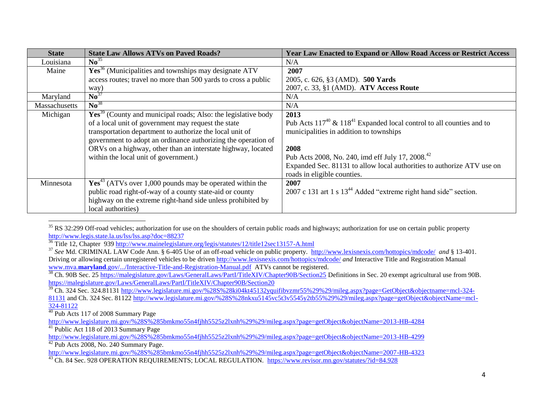| <b>State</b>  | <b>State Law Allows ATVs on Paved Roads?</b>                         | <b>Year Law Enacted to Expand or Allow Road Access or Restrict Access</b>      |
|---------------|----------------------------------------------------------------------|--------------------------------------------------------------------------------|
| Louisiana     | $\mathbf{N} \mathbf{0}^{35}$                                         | N/A                                                                            |
| Maine         | $Yes36$ (Municipalities and townships may designate ATV              | 2007                                                                           |
|               | access routes; travel no more than 500 yards to cross a public       | 2005, c. 626, §3 (AMD). 500 Yards                                              |
|               | way)                                                                 | 2007, c. 33, §1 (AMD). ATV Access Route                                        |
| Maryland      | $\text{No}^{37}$                                                     | N/A                                                                            |
| Massachusetts | $\mathbf{N} \mathbf{o}^{38}$                                         | N/A                                                                            |
| Michigan      | $Yes39$ (County and municipal roads; Also: the legislative body      | 2013                                                                           |
|               | of a local unit of government may request the state                  | Pub Acts $117^{40}$ & $118^{41}$ Expanded local control to all counties and to |
|               | transportation department to authorize the local unit of             | municipalities in addition to townships                                        |
|               | government to adopt an ordinance authorizing the operation of        |                                                                                |
|               | ORVs on a highway, other than an interstate highway, located         | 2008                                                                           |
|               | within the local unit of government.)                                | Pub Acts 2008, No. 240, imd eff July 17, 2008. <sup>42</sup>                   |
|               |                                                                      | Expanded Sec. 81131 to allow local authorities to authorize ATV use on         |
|               |                                                                      | roads in eligible counties.                                                    |
| Minnesota     | $\text{Yes}^{43}$ (ATVs over 1,000 pounds may be operated within the | 2007                                                                           |
|               | public road right-of-way of a county state-aid or county             | 2007 c 131 art 1 s 13 <sup>44</sup> Added "extreme right hand side" section.   |
|               | highway on the extreme right-hand side unless prohibited by          |                                                                                |
|               | local authorities)                                                   |                                                                                |

 $\overline{a}$ <sup>35</sup> RS 32:299 Off-road vehicles; authorization for use on the shoulders of certain public roads and highways; authorization for use on certain public property <http://www.legis.state.la.us/lss/lss.asp?doc=88237>

<sup>36</sup> Title 12, Chapter 93[9 http://www.mainelegislature.org/legis/statutes/12/title12sec13157-A.html](http://www.mainelegislature.org/legis/statutes/12/title12sec13157-A.html)

<sup>37</sup> *See* Md. CRIMINAL LAW Code Ann. § 6-405 Use of an off-road vehicle on public property. <http://www.lexisnexis.com/hottopics/mdcode/>*and* § 13-401. Driving or allowing certain unregistered vehicles to be driven<http://www.lexisnexis.com/hottopics/mdcode/> *and* Interactive Title and Registration Manual www.mva.**maryland**[.gov/.../Interactive-Title-and-Registration-Manual.pdf](http://www.mva.maryland.gov/.../Interactive-Title-and-Registration-Manual.pdf) ATVs cannot be registered.

<sup>38</sup> Ch. 90B Sec. 25<https://malegislature.gov/Laws/GeneralLaws/PartI/TitleXIV/Chapter90B/Section25> Definitions in Sec. 20 exempt agricultural use from 90B. <https://malegislature.gov/Laws/GeneralLaws/PartI/TitleXIV/Chapter90B/Section20>

 $\overline{39}$  Ch. 324 Sec. 324.8113[1 http://www.legislature.mi.gov/%28S%28ki04kt45132yquifibvzmr55%29%29/mileg.aspx?page=GetObject&objectname=mcl-324-](http://www.legislature.mi.gov/%28S%28ki04kt45132yquifibvzmr55%29%29/mileg.aspx?page=GetObject&objectname=mcl-324-81131) [81131](http://www.legislature.mi.gov/%28S%28ki04kt45132yquifibvzmr55%29%29/mileg.aspx?page=GetObject&objectname=mcl-324-81131) and Ch. 324 Sec. 81122 [http://www.legislature.mi.gov/%28S%28nkxu5145vc5t3v5545y2tb55%29%29/mileg.aspx?page=getObject&objectName=mcl-](http://www.legislature.mi.gov/%28S%28nkxu5145vc5t3v5545y2tb55%29%29/mileg.aspx?page=getObject&objectName=mcl-324-81122)[324-81122](http://www.legislature.mi.gov/%28S%28nkxu5145vc5t3v5545y2tb55%29%29/mileg.aspx?page=getObject&objectName=mcl-324-81122)

 $\frac{40}{40}$  Pub Acts 117 of 2008 Summary Page

<http://www.legislature.mi.gov/%28S%285bmkmo55n4fjhh5525z2lxnh%29%29/mileg.aspx?page=getObject&objectName=2013-HB-4284> <sup>41</sup> Public Act 118 of 2013 Summary Page

<http://www.legislature.mi.gov/%28S%285bmkmo55n4fjhh5525z2lxnh%29%29/mileg.aspx?page=getObject&objectName=2013-HB-4299>  $42$  Pub Acts 2008, No. 240 Summary Page.

<http://www.legislature.mi.gov/%28S%285bmkmo55n4fjhh5525z2lxnh%29%29/mileg.aspx?page=getObject&objectName=2007-HB-4323>

<sup>43</sup> Ch. 84 Sec. 928 OPERATION REQUIREMENTS; LOCAL REGULATION. <https://www.revisor.mn.gov/statutes/?id=84.928>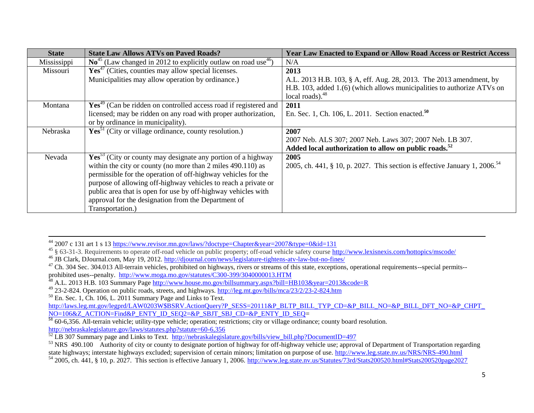| <b>State</b> | <b>State Law Allows ATVs on Paved Roads?</b>                                           | Year Law Enacted to Expand or Allow Road Access or Restrict Access                     |
|--------------|----------------------------------------------------------------------------------------|----------------------------------------------------------------------------------------|
| Mississippi  | $\text{No}^{45}$ (Law changed in 2012 to explicitly outlaw on road use <sup>46</sup> ) | N/A                                                                                    |
| Missouri     | $\text{Yes}^{47}$ (Cities, counties may allow special licenses.                        | 2013                                                                                   |
|              | Municipalities may allow operation by ordinance.)                                      | A.L. 2013 H.B. 103, § A, eff. Aug. 28, 2013. The 2013 amendment, by                    |
|              |                                                                                        | H.B. 103, added 1.(6) (which allows municipalities to authorize ATVs on                |
|              |                                                                                        | local roads). $48$                                                                     |
| Montana      | $Yes49$ (Can be ridden on controlled access road if registered and                     | 2011                                                                                   |
|              | licensed; may be ridden on any road with proper authorization,                         | En. Sec. 1, Ch. 106, L. 2011. Section enacted. <sup>50</sup>                           |
|              | or by ordinance in municipality).                                                      |                                                                                        |
| Nebraska     | $\text{Yes}^{51}$ (City or village ordinance, county resolution.)                      | 2007                                                                                   |
|              |                                                                                        | 2007 Neb. ALS 307; 2007 Neb. Laws 307; 2007 Neb. LB 307.                               |
|              |                                                                                        | Added local authorization to allow on public roads. <sup>52</sup>                      |
| Nevada       | $\mathbf{Yes}^{53}$ (City or county may designate any portion of a highway             | 2005                                                                                   |
|              | within the city or county (no more than 2 miles 490.110) as                            | 2005, ch. 441, § 10, p. 2027. This section is effective January 1, 2006. <sup>54</sup> |
|              | permissible for the operation of off-highway vehicles for the                          |                                                                                        |
|              | purpose of allowing off-highway vehicles to reach a private or                         |                                                                                        |
|              | public area that is open for use by off-highway vehicles with                          |                                                                                        |
|              | approval for the designation from the Department of                                    |                                                                                        |
|              | Transportation.)                                                                       |                                                                                        |

 $\overline{\phantom{a}}$ <sup>44</sup> 2007 c 131 art 1 s 13<https://www.revisor.mn.gov/laws/?doctype=Chapter&year=2007&type=0&id=131>

```
http://laws.leg.mt.gov/legprd/LAW0203W$BSRV.ActionQuery?P_SESS=20111&P_BLTP_BILL_TYP_CD=&P_BILL_NO=&P_BILL_DFT_NO=&P_CHPT_
NO=106&Z_ACTION=Find&P_ENTY_ID_SEQ2=&P_SBJT_SBJ_CD=&P_ENTY_ID_SEQ=
```
<sup>&</sup>lt;sup>45</sup> § 63-31-3. Requirements to operate off-road vehicle on public property; off-road vehicle safety course http://www.lexisnexis.com/hottopics/mscode/

<sup>46</sup> JB Clark, DJournal.com, May 19, 2012.<http://djournal.com/news/legislature-tightens-atv-law-but-no-fines/>

<sup>&</sup>lt;sup>47</sup> Ch. 304 Sec. 304.013 All-terrain vehicles, prohibited on highways, rivers or streams of this state, exceptions, operational requirements--special permits-prohibited uses--penalty. <http://www.moga.mo.gov/statutes/C300-399/3040000013.HTM>

<sup>&</sup>lt;sup>48</sup> A.L. 2013 H.B. 103 Summary Page<http://www.house.mo.gov/billsummary.aspx?bill=HB103&year=2013&code=R>

<sup>49</sup> 23-2-824. Operation on public roads, streets, and highways[. http://leg.mt.gov/bills/mca/23/2/23-2-824.htm](http://leg.mt.gov/bills/mca/23/2/23-2-824.htm)

 $50$  En. Sec. 1, Ch. 106, L. 2011 Summary Page and Links to Text.

**<sup>51</sup>** 60-6,356. All-terrain vehicle; utility-type vehicle; operation; restrictions; city or village ordinance; county board resolution. <http://nebraskalegislature.gov/laws/statutes.php?statute=60-6,356>

 $\frac{52}{52}$  LB 307 Summary page and Links to Text. [http://nebraskalegislature.gov/bills/view\\_bill.php?DocumentID=497](http://nebraskalegislature.gov/bills/view_bill.php?DocumentID=497)

<sup>&</sup>lt;sup>53</sup> NRS 490.100 Authority of city or county to designate portion of highway for off-highway vehicle use; approval of Department of Transportation regarding state highways; interstate highways excluded; supervision of certain minors; limitation on purpose of use.<http://www.leg.state.nv.us/NRS/NRS-490.html>

 $^{54}$  2005, ch. 441, § 10, p. 2027. This section is effective January 1, 2006.<http://www.leg.state.nv.us/Statutes/73rd/Stats200520.html#Stats200520page2027>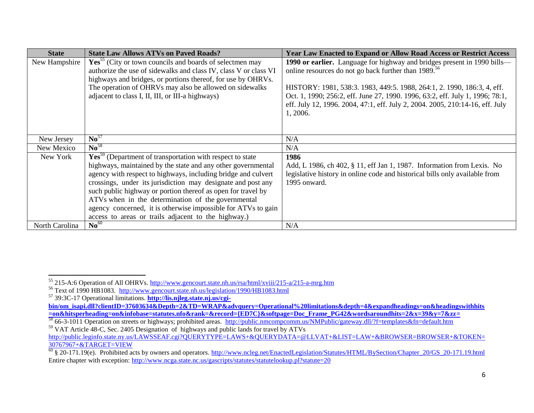| <b>State</b>   | <b>State Law Allows ATVs on Paved Roads?</b>                          | <b>Year Law Enacted to Expand or Allow Road Access or Restrict Access</b>     |
|----------------|-----------------------------------------------------------------------|-------------------------------------------------------------------------------|
| New Hampshire  | $Yes55$ (City or town councils and boards of selectmen may            | 1990 or earlier. Language for highway and bridges present in 1990 bills-      |
|                | authorize the use of sidewalks and class IV, class V or class VI      | online resources do not go back further than 1989. <sup>56</sup>              |
|                | highways and bridges, or portions thereof, for use by OHRVs.          |                                                                               |
|                | The operation of OHRVs may also be allowed on sidewalks               | HISTORY: 1981, 538:3. 1983, 449:5. 1988, 264:1, 2. 1990, 186:3, 4, eff.       |
|                | adjacent to class I, II, III, or III-a highways)                      | Oct. 1, 1990; 256:2, eff. June 27, 1990. 1996, 63:2, eff. July 1, 1996; 78:1, |
|                |                                                                       | eff. July 12, 1996. 2004, 47:1, eff. July 2, 2004. 2005, 210:14-16, eff. July |
|                |                                                                       | 1, 2006.                                                                      |
|                |                                                                       |                                                                               |
| New Jersey     | No <sup>57</sup>                                                      | N/A                                                                           |
|                | $\mathrm{No}^{58}$                                                    |                                                                               |
| New Mexico     |                                                                       | N/A                                                                           |
| New York       | Yes <sup>59</sup> (Department of transportation with respect to state | 1986                                                                          |
|                | highways, maintained by the state and any other governmental          | Add, L 1986, ch 402, § 11, eff Jan 1, 1987. Information from Lexis. No        |
|                | agency with respect to highways, including bridge and culvert         | legislative history in online code and historical bills only available from   |
|                | crossings, under its jurisdiction may designate and post any          | 1995 onward.                                                                  |
|                | such public highway or portion thereof as open for travel by          |                                                                               |
|                | ATVs when in the determination of the governmental                    |                                                                               |
|                | agency concerned, it is otherwise impossible for ATVs to gain         |                                                                               |
|                | access to areas or trails adjacent to the highway.)                   |                                                                               |
| North Carolina | No <sup>60</sup>                                                      | N/A                                                                           |

 $\overline{\phantom{a}}$ 

<sup>&</sup>lt;sup>55</sup> 215-A:6 Operation of All OHRVs.<http://www.gencourt.state.nh.us/rsa/html/xviii/215-a/215-a-mrg.htm>

<sup>56</sup> Text of 1990 HB1083. <http://www.gencourt.state.nh.us/legislation/1990/HB1083.html>

<sup>57</sup> 39:3C-17 Operational limitations. **[http://lis.njleg.state.nj.us/cgi-](http://lis.njleg.state.nj.us/cgi-bin/om_isapi.dll?clientID=37603634&Depth=2&TD=WRAP&advquery=Operational%20limitations&depth=4&expandheadings=on&headingswithhits=on&hitsperheading=on&infobase=statutes.nfo&rank=&record=%7bED7C%7d&softpage=Doc_Frame_PG42&wordsaroundhits=2&x=39&y=7&zz)**

**[bin/om\\_isapi.dll?clientID=37603634&Depth=2&TD=WRAP&advquery=Operational%20limitations&depth=4&expandheadings=on&headingswithhits](http://lis.njleg.state.nj.us/cgi-bin/om_isapi.dll?clientID=37603634&Depth=2&TD=WRAP&advquery=Operational%20limitations&depth=4&expandheadings=on&headingswithhits=on&hitsperheading=on&infobase=statutes.nfo&rank=&record=%7bED7C%7d&softpage=Doc_Frame_PG42&wordsaroundhits=2&x=39&y=7&zz) [=on&hitsperheading=on&infobase=statutes.nfo&rank=&record={ED7C}&softpage=Doc\\_Frame\\_PG42&wordsaroundhits=2&x=39&y=7&zz=](http://lis.njleg.state.nj.us/cgi-bin/om_isapi.dll?clientID=37603634&Depth=2&TD=WRAP&advquery=Operational%20limitations&depth=4&expandheadings=on&headingswithhits=on&hitsperheading=on&infobase=statutes.nfo&rank=&record=%7bED7C%7d&softpage=Doc_Frame_PG42&wordsaroundhits=2&x=39&y=7&zz)** 

<sup>58</sup> 66-3-1011 Operation on streets or highways; prohibited areas. <http://public.nmcompcomm.us/NMPublic/gateway.dll/?f=templates&fn=default.htm>

<sup>&</sup>lt;sup>59</sup> VAT Article 48-C, Sec. 2405 Designation of highways and public lands for travel by ATVs [http://public.leginfo.state.ny.us/LAWSSEAF.cgi?QUERYTYPE=LAWS+&QUERYDATA=@LLVAT+&LIST=LAW+&BROWSER=BROWSER+&TOKEN=](http://public.leginfo.state.ny.us/LAWSSEAF.cgi?QUERYTYPE=LAWS+&QUERYDATA=@LLVAT+&LIST=LAW+&BROWSER=BROWSER+&TOKEN=30767967+&TARGET=VIEW)<br>30767967+&TARGET=VIEW

 $\frac{30}{60}$  § 20-171.19(e). Prohibited acts by owners and operators. [http://www.ncleg.net/EnactedLegislation/Statutes/HTML/BySection/Chapter\\_20/GS\\_20-171.19.html](http://www.ncleg.net/EnactedLegislation/Statutes/HTML/BySection/Chapter_20/GS_20-171.19.html) Entire chapter with exception:<http://www.ncga.state.nc.us/gascripts/statutes/statutelookup.pl?statute=20>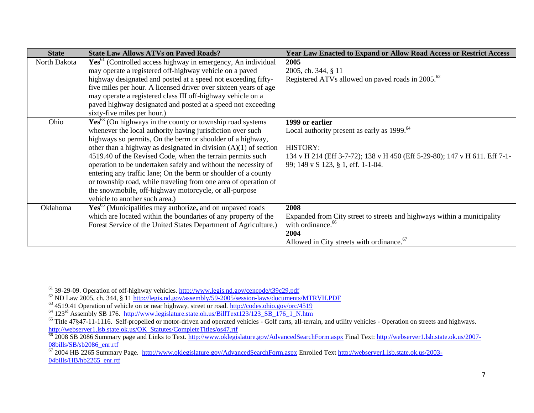| <b>State</b> | <b>State Law Allows ATVs on Paved Roads?</b>                             | <b>Year Law Enacted to Expand or Allow Road Access or Restrict Access</b>  |
|--------------|--------------------------------------------------------------------------|----------------------------------------------------------------------------|
| North Dakota | Yes <sup>61</sup> (Controlled access highway in emergency, An individual | 2005                                                                       |
|              | may operate a registered off-highway vehicle on a paved                  | 2005, ch. 344, § 11                                                        |
|              | highway designated and posted at a speed not exceeding fifty-            | Registered ATVs allowed on paved roads in 2005. <sup>62</sup>              |
|              | five miles per hour. A licensed driver over sixteen years of age         |                                                                            |
|              | may operate a registered class III off-highway vehicle on a              |                                                                            |
|              | paved highway designated and posted at a speed not exceeding             |                                                                            |
|              | sixty-five miles per hour.)                                              |                                                                            |
| Ohio         | $Yes^{63}$ (On highways in the county or township road systems           | 1999 or earlier                                                            |
|              | whenever the local authority having jurisdiction over such               | Local authority present as early as 1999. <sup>64</sup>                    |
|              | highways so permits, On the berm or shoulder of a highway,               |                                                                            |
|              | other than a highway as designated in division $(A)(1)$ of section       | <b>HISTORY:</b>                                                            |
|              | 4519.40 of the Revised Code, when the terrain permits such               | 134 v H 214 (Eff 3-7-72); 138 v H 450 (Eff 5-29-80); 147 v H 611. Eff 7-1- |
|              | operation to be undertaken safely and without the necessity of           | 99; 149 v S 123, § 1, eff. 1-1-04.                                         |
|              | entering any traffic lane; On the berm or shoulder of a county           |                                                                            |
|              | or township road, while traveling from one area of operation of          |                                                                            |
|              | the snowmobile, off-highway motorcycle, or all-purpose                   |                                                                            |
|              | vehicle to another such area.)                                           |                                                                            |
| Oklahoma     | Yes <sup>65</sup> (Municipalities may authorize, and on unpaved roads    | 2008                                                                       |
|              | which are located within the boundaries of any property of the           | Expanded from City street to streets and highways within a municipality    |
|              | Forest Service of the United States Department of Agriculture.)          | with ordinance. <sup>66</sup>                                              |
|              |                                                                          | 2004                                                                       |
|              |                                                                          | Allowed in City streets with ordinance. <sup>67</sup>                      |

 $\overline{\phantom{a}}$ 

<sup>&</sup>lt;sup>61</sup> 39-29-09. Operation of off-highway vehicles[. http://www.legis.nd.gov/cencode/t39c29.pdf](http://www.legis.nd.gov/cencode/t39c29.pdf)

<sup>&</sup>lt;sup>62</sup> ND Law 2005, ch. 344, § 1[1 http://legis.nd.gov/assembly/59-2005/session-laws/documents/MTRVH.PDF](http://legis.nd.gov/assembly/59-2005/session-laws/documents/MTRVH.PDF)

<sup>&</sup>lt;sup>63</sup> 4519.41 Operation of vehicle on or near highway, street or road.<http://codes.ohio.gov/orc/4519>

<sup>&</sup>lt;sup>64</sup> 123<sup>rd</sup> Assembly SB 176. http://www.legislature.state.oh.us/BillText123/123 SB 176 1 N.htm

 $65$  Title 47§47-11-1116. Self-propelled or motor-driven and operated vehicles - Golf carts, all-terrain, and utility vehicles - Operation on streets and highways. [http://webserver1.lsb.state.ok.us/OK\\_Statutes/CompleteTitles/os47.rtf](http://webserver1.lsb.state.ok.us/OK_Statutes/CompleteTitles/os47.rtf)

<sup>&</sup>lt;sup>66</sup> 2008 SB 2086 Summary page and Links to Text.<http://www.oklegislature.gov/AdvancedSearchForm.aspx> Final Text[: http://webserver1.lsb.state.ok.us/2007-](http://webserver1.lsb.state.ok.us/2007-08bills/SB/sb2086_enr.rtf) [08bills/SB/sb2086\\_enr.rtf](http://webserver1.lsb.state.ok.us/2007-08bills/SB/sb2086_enr.rtf)

<sup>67</sup> 2004 HB 2265 Summary Page.<http://www.oklegislature.gov/AdvancedSearchForm.aspx> Enrolled Text [http://webserver1.lsb.state.ok.us/2003-](http://webserver1.lsb.state.ok.us/2003-04bills/HB/hb2265_enr.rtf) [04bills/HB/hb2265\\_enr.rtf](http://webserver1.lsb.state.ok.us/2003-04bills/HB/hb2265_enr.rtf)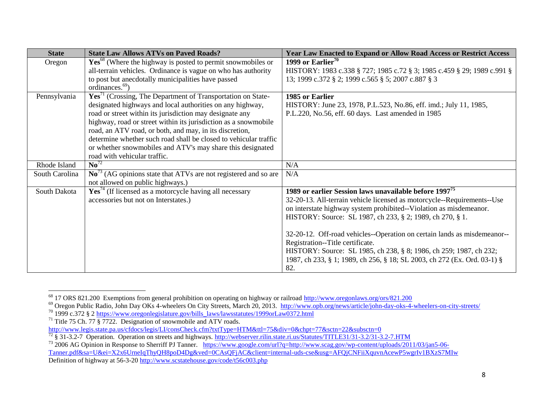| <b>State</b>   | <b>State Law Allows ATVs on Paved Roads?</b>                                  | <b>Year Law Enacted to Expand or Allow Road Access or Restrict Access</b> |
|----------------|-------------------------------------------------------------------------------|---------------------------------------------------------------------------|
| Oregon         | Yes <sup>68</sup> (Where the highway is posted to permit snowmobiles or       | 1999 or Earlier <sup>70</sup>                                             |
|                | all-terrain vehicles. Ordinance is vague on who has authority                 | HISTORY: 1983 c.338 § 727; 1985 c.72 § 3; 1985 c.459 § 29; 1989 c.991 §   |
|                | to post but anecdotally municipalities have passed                            | 13; 1999 c.372 § 2; 1999 c.565 § 5; 2007 c.887 § 3                        |
|                | ordinances. <sup>69</sup> )                                                   |                                                                           |
| Pennsylvania   | $\text{Yes}^{71}$ (Crossing, The Department of Transportation on State-       | 1985 or Earlier                                                           |
|                | designated highways and local authorities on any highway,                     | HISTORY: June 23, 1978, P.L.523, No.86, eff. imd.; July 11, 1985,         |
|                | road or street within its jurisdiction may designate any                      | P.L.220, No.56, eff. 60 days. Last amended in 1985                        |
|                | highway, road or street within its jurisdiction as a snowmobile               |                                                                           |
|                | road, an ATV road, or both, and may, in its discretion,                       |                                                                           |
|                | determine whether such road shall be closed to vehicular traffic              |                                                                           |
|                | or whether snowmobiles and ATV's may share this designated                    |                                                                           |
|                | road with vehicular traffic.                                                  |                                                                           |
| Rhode Island   | $\overline{\mathrm{No}}^{72}$                                                 | N/A                                                                       |
| South Carolina | $\mathrm{No}^{73}$ (AG opinions state that ATVs are not registered and so are | N/A                                                                       |
|                | not allowed on public highways.)                                              |                                                                           |
| South Dakota   | $Yes74$ (If licensed as a motorcycle having all necessary                     | 1989 or earlier Session laws unavailable before 1997 <sup>75</sup>        |
|                | accessories but not on Interstates.)                                          | 32-20-13. All-terrain vehicle licensed as motorcycle--Requirements--Use   |
|                |                                                                               | on interstate highway system prohibited--Violation as misdemeanor.        |
|                |                                                                               | HISTORY: Source: SL 1987, ch 233, § 2; 1989, ch 270, § 1.                 |
|                |                                                                               |                                                                           |
|                |                                                                               | 32-20-12. Off-road vehicles--Operation on certain lands as misdemeanor--  |
|                |                                                                               | Registration--Title certificate.                                          |
|                |                                                                               | HISTORY: Source: SL 1985, ch 238, § 8; 1986, ch 259; 1987, ch 232;        |
|                |                                                                               | 1987, ch 233, § 1; 1989, ch 256, § 18; SL 2003, ch 272 (Ex. Ord. 03-1) §  |
|                |                                                                               | 82.                                                                       |

l <sup>68</sup> 17 ORS 821.200 Exemptions from general prohibition on operating on highway or railroad<http://www.oregonlaws.org/ors/821.200>

<sup>&</sup>lt;sup>69</sup> Oregon Public Radio, John Day OKs 4-wheelers On City Streets, March 20, 2013. http://www.opb.org/news/article/john-day-oks-4-wheelers-on-city-streets/

<sup>&</sup>lt;sup>70</sup> 1999 c.372 § 2 [https://www.oregonlegislature.gov/bills\\_laws/lawsstatutes/1999orLaw0372.html](https://www.oregonlegislature.gov/bills_laws/lawsstatutes/1999orLaw0372.html)

<sup>&</sup>lt;sup>71</sup> Title 75 Ch. 77 § 7722. Designation of snowmobile and ATV roads.

<http://www.legis.state.pa.us/cfdocs/legis/LI/consCheck.cfm?txtType=HTM&ttl=75&div=0&chpt=77&sctn=22&subsctn=0>

<sup>&</sup>lt;sup>72</sup> § 31-3.2-7 Operation. Operation on streets and highways.<http://webserver.rilin.state.ri.us/Statutes/TITLE31/31-3.2/31-3.2-7.HTM>

<sup>&</sup>lt;sup>73</sup> 2006 AG Opinion in Response to Sherriff PJ Tanner. [https://www.google.com/url?q=http://www.scag.gov/wp-content/uploads/2011/03/jan5-06-](https://www.google.com/url?q=http://www.scag.gov/wp-content/uploads/2011/03/jan5-06-Tanner.pdf&sa=U&ei=X2x6UrneIqThyQH8poD4Dg&ved=0CAsQFjAC&client=internal-uds-cse&usg=AFQjCNFiiXquvnAcewP5wgrIv1BXzS7MIw) [Tanner.pdf&sa=U&ei=X2x6UrneIqThyQH8poD4Dg&ved=0CAsQFjAC&client=internal-uds-cse&usg=AFQjCNFiiXquvnAcewP5wgrIv1BXzS7MIw](https://www.google.com/url?q=http://www.scag.gov/wp-content/uploads/2011/03/jan5-06-Tanner.pdf&sa=U&ei=X2x6UrneIqThyQH8poD4Dg&ved=0CAsQFjAC&client=internal-uds-cse&usg=AFQjCNFiiXquvnAcewP5wgrIv1BXzS7MIw)  Definition of highway at 56-3-20<http://www.scstatehouse.gov/code/t56c003.php>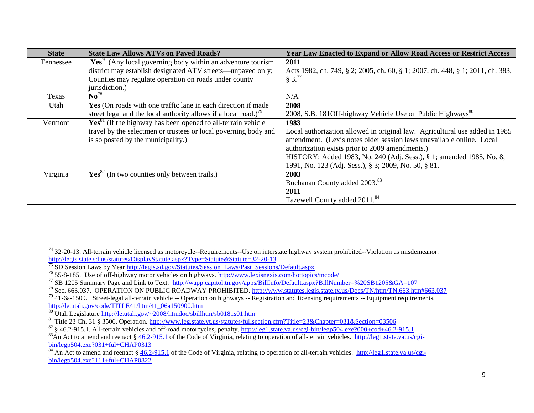| <b>State</b> | <b>State Law Allows ATVs on Paved Roads?</b>                                | <b>Year Law Enacted to Expand or Allow Road Access or Restrict Access</b>      |
|--------------|-----------------------------------------------------------------------------|--------------------------------------------------------------------------------|
| Tennessee    | $Yes76$ (Any local governing body within an adventure tourism               | 2011                                                                           |
|              | district may establish designated ATV streets—unpaved only;                 | Acts 1982, ch. 749, § 2; 2005, ch. 60, § 1; 2007, ch. 448, § 1; 2011, ch. 383, |
|              | Counties may regulate operation on roads under county                       | $§ 3.^{77}$                                                                    |
|              | jurisdiction.)                                                              |                                                                                |
| Texas        | $\mathbf{N} \mathbf{o}^{78}$                                                | N/A                                                                            |
| Utah         | Yes (On roads with one traffic lane in each direction if made               | 2008                                                                           |
|              | street legal and the local authority allows if a local road.) <sup>79</sup> | 2008, S.B. 1810ff-highway Vehicle Use on Public Highways <sup>80</sup>         |
| Vermont      | $Yes81$ (If the highway has been opened to all-terrain vehicle              | 1983                                                                           |
|              | travel by the selectmen or trustees or local governing body and             | Local authorization allowed in original law. Agricultural use added in 1985    |
|              | is so posted by the municipality.)                                          | amendment. (Lexis notes older session laws unavailable online. Local           |
|              |                                                                             | authorization exists prior to 2009 amendments.)                                |
|              |                                                                             | HISTORY: Added 1983, No. 240 (Adj. Sess.), § 1; amended 1985, No. 8;           |
|              |                                                                             | 1991, No. 123 (Adj. Sess.), § 3; 2009, No. 50, § 81.                           |
| Virginia     | $Yes82$ (In two counties only between trails.)                              | 2003                                                                           |
|              |                                                                             | Buchanan County added 2003. <sup>83</sup>                                      |
|              |                                                                             | 2011                                                                           |
|              |                                                                             | Tazewell County added 2011. <sup>84</sup>                                      |

 $74$  32-20-13. All-terrain vehicle licensed as motorcycle--Requirements--Use on interstate highway system prohibited--Violation as misdemeanor. <http://legis.state.sd.us/statutes/DisplayStatute.aspx?Type=Statute&Statute=32-20-13>

l

<sup>&</sup>lt;sup>75</sup> SD Session Laws by Year [http://legis.sd.gov/Statutes/Session\\_Laws/Past\\_Sessions/Default.aspx](http://legis.sd.gov/Statutes/Session_Laws/Past_Sessions/Default.aspx)

<sup>&</sup>lt;sup>76</sup> 55-8-185. Use of off-highway motor vehicles on highways.<http://www.lexisnexis.com/hottopics/tncode/>

<sup>&</sup>lt;sup>77</sup> SB 1205 Summary Page and Link to Text. <http://wapp.capitol.tn.gov/apps/BillInfo/Default.aspx?BillNumber=%20SB1205&GA=107>

<sup>&</sup>lt;sup>78</sup> Sec. 663.037. OPERATION ON PUBLIC ROADWAY PROHIBITED.<http://www.statutes.legis.state.tx.us/Docs/TN/htm/TN.663.htm#663.037>

 $^{79}$  41-6a-1509. Street-legal all-terrain vehicle -- Operation on highways -- Registration and licensing requirements -- Equipment requirements. [http://le.utah.gov/code/TITLE41/htm/41\\_06a150900.htm](http://le.utah.gov/code/TITLE41/htm/41_06a150900.htm)

<sup>80</sup> Utah Legislature<http://le.utah.gov/~2008/htmdoc/sbillhtm/sb0181s01.htm>

<sup>81</sup> Title 23 Ch. 31 § 3506. Operation.<http://www.leg.state.vt.us/statutes/fullsection.cfm?Title=23&Chapter=031&Section=03506>

 $82 \text{ }\frac{\text{S}}{\text{S}}$  46.2-915.1. All-terrain vehicles and off-road motorcycles; penalty.<http://leg1.state.va.us/cgi-bin/legp504.exe?000+cod+46.2-915.1>

<sup>&</sup>lt;sup>83</sup>An Act to amend and reenact § [46.2-915.1](http://leg1.state.va.us/cgi-bin/legp504.exe?000+cod+46.2-915.1) of the Code of Virginia, relating to operation of all-terrain vehicles. [http://leg1.state.va.us/cgi](http://leg1.state.va.us/cgi-bin/legp504.exe?031+ful+CHAP0313)[bin/legp504.exe?031+ful+CHAP0313](http://leg1.state.va.us/cgi-bin/legp504.exe?031+ful+CHAP0313)

 $\frac{1}{84}$  An Act to amend and reenact § [46.2-915.1](http://leg1.state.va.us/cgi-bin/legp504.exe?000+cod+46.2-915.1) of the Code of Virginia, relating to operation of all-terrain vehicles. [http://leg1.state.va.us/cgi](http://leg1.state.va.us/cgi-bin/legp504.exe?111+ful+CHAP0822)[bin/legp504.exe?111+ful+CHAP0822](http://leg1.state.va.us/cgi-bin/legp504.exe?111+ful+CHAP0822)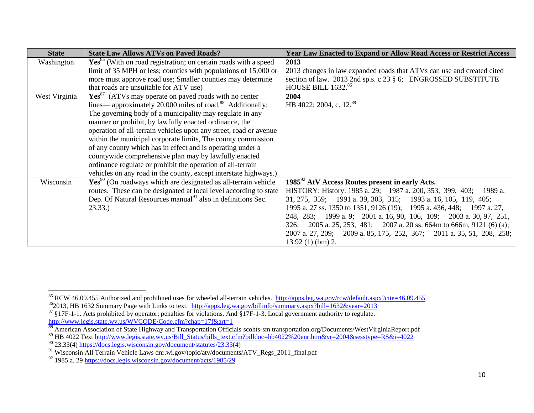| <b>State</b>  | <b>State Law Allows ATVs on Paved Roads?</b>                                | <b>Year Law Enacted to Expand or Allow Road Access or Restrict Access</b> |
|---------------|-----------------------------------------------------------------------------|---------------------------------------------------------------------------|
| Washington    | Yes <sup>85</sup> (With on road registration; on certain roads with a speed | 2013                                                                      |
|               | limit of 35 MPH or less; counties with populations of 15,000 or             | 2013 changes in law expanded roads that ATVs can use and created cited    |
|               | more must approve road use; Smaller counties may determine                  | section of law. 2013 2nd sp.s. c 23 § 6; ENGROSSED SUBSTITUTE             |
|               | that roads are unsuitable for ATV use)                                      | <b>HOUSE BILL 1632.86</b>                                                 |
| West Virginia | Yes <sup>87</sup> (ATVs may operate on paved roads with no center           | 2004                                                                      |
|               | lines—approximately 20,000 miles of road. <sup>88</sup> Additionally:       | HB 4022; 2004, c. 12. <sup>89</sup>                                       |
|               | The governing body of a municipality may regulate in any                    |                                                                           |
|               | manner or prohibit, by lawfully enacted ordinance, the                      |                                                                           |
|               | operation of all-terrain vehicles upon any street, road or avenue           |                                                                           |
|               | within the municipal corporate limits, The county commission                |                                                                           |
|               | of any county which has in effect and is operating under a                  |                                                                           |
|               | countywide comprehensive plan may by lawfully enacted                       |                                                                           |
|               | ordinance regulate or prohibit the operation of all-terrain                 |                                                                           |
|               | vehicles on any road in the county, except interstate highways.)            |                                                                           |
| Wisconsin     | $Yes90$ (On roadways which are designated as all-terrain vehicle            | $1985^{\frac{92}{}}$ AtV Access Routes present in early Acts.             |
|               | routes. These can be designated at local level according to state           | HISTORY: History: 1985 a. 29; 1987 a. 200, 353, 399, 403; 1989 a.         |
|               | Dep. Of Natural Resources manual <sup>91</sup> also in definitions Sec.     | 31, 275, 359; 1991 a. 39, 303, 315; 1993 a. 16, 105, 119, 405;            |
|               | 23.33.                                                                      | 1995 a. 27 ss. 1350 to 1351, 9126 (19); 1995 a. 436, 448; 1997 a. 27,     |
|               |                                                                             | 248, 283; 1999 a. 9; 2001 a. 16, 90, 106, 109; 2003 a. 30, 97, 251,       |
|               |                                                                             | 2005 a. 25, 253, 481; 2007 a. 20 ss. 664m to 666m, 9121 (6) (a);<br>326;  |
|               |                                                                             | 2007 a. 27, 209; 2009 a. 85, 175, 252, 367; 2011 a. 35, 51, 208, 258;     |
|               |                                                                             | $13.92(1)$ (bm) 2.                                                        |

l <sup>85</sup> RCW 46.09.455 Authorized and prohibited uses for wheeled all-terrain vehicles.<http://apps.leg.wa.gov/rcw/default.aspx?cite=46.09.455>  $\frac{\text{86}}{2013}$ , HB 1632 Summary Page with Links to text. <http://apps.leg.wa.gov/billinfo/summary.aspx?bill=1632&year=2013>

 $87 \text{ }\frac{\text{87}}{\text{}}$  §17F-1-1. Acts prohibited by operator; penalties for violations. And §17F-1-3. Local government authority to regulate. <http://www.legis.state.wv.us/WVCODE/Code.cfm?chap=17f&art=1>

*<sup>88</sup>* American Association of State Highway and Transportation Officials scohts-sm.transportation.org/Documents/WestVirginiaReport.pdf

<sup>89</sup> HB 4022 Tex[t http://www.legis.state.wv.us/Bill\\_Status/bills\\_text.cfm?billdoc=hb4022%20enr.htm&yr=2004&sesstype=RS&i=4022](http://www.legis.state.wv.us/Bill_Status/bills_text.cfm?billdoc=hb4022%20enr.htm&yr=2004&sesstype=RS&i=4022)

 $^{90}$  23.33(4) https://docs.legis.wisconsin.gov/document/statutes/23.33(4)

<sup>&</sup>lt;sup>91</sup> Wisconsin All Terrain Vehicle Laws dnr.wi.gov/topic/atv/documents/ATV\_Regs\_2011\_final.pdf

 $\frac{92}{92}$  1985 a. 29<https://docs.legis.wisconsin.gov/document/acts/1985/29>